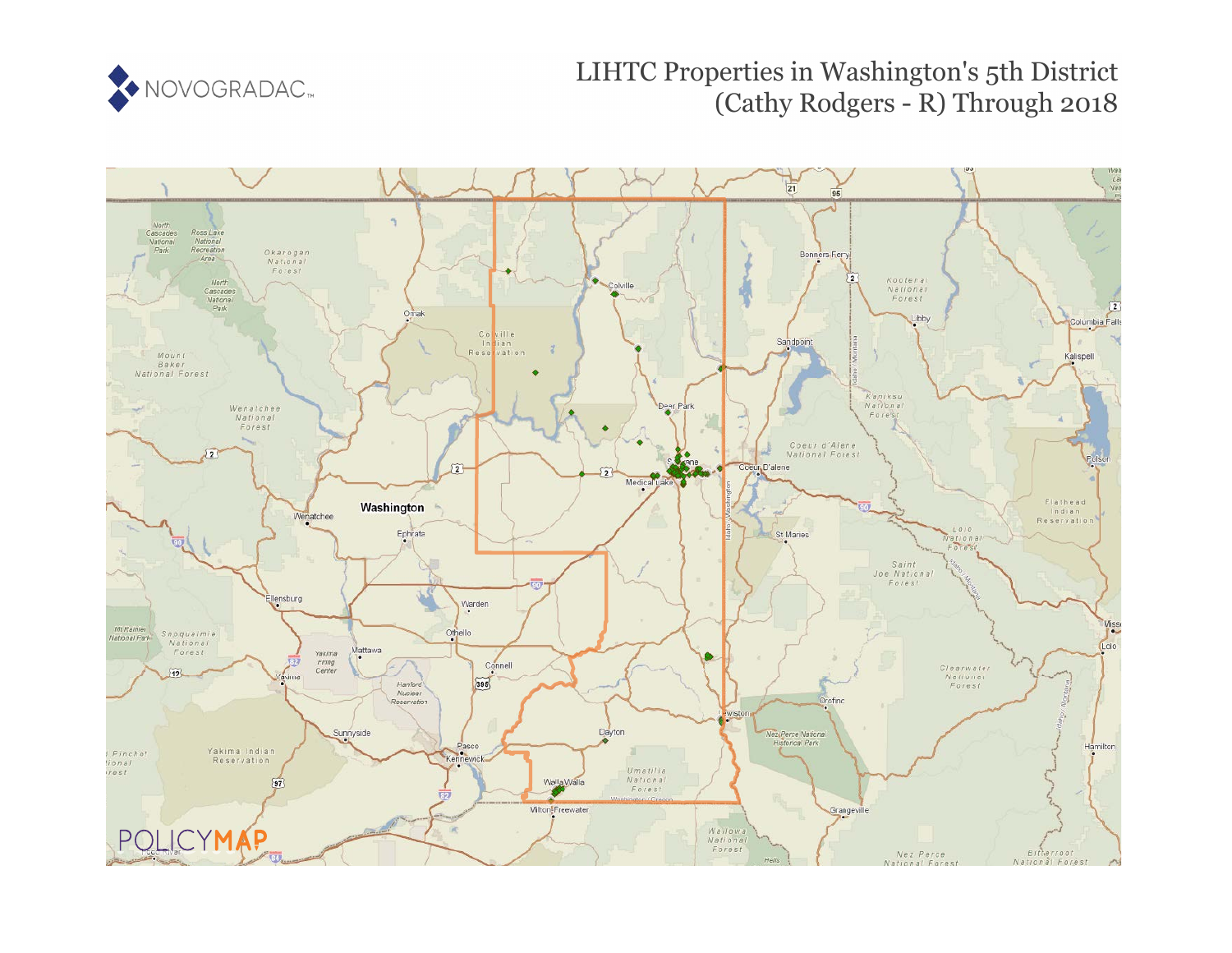

# LIHTC Properties in Washington's 5th District (Cathy Rodgers - R) Through 2018

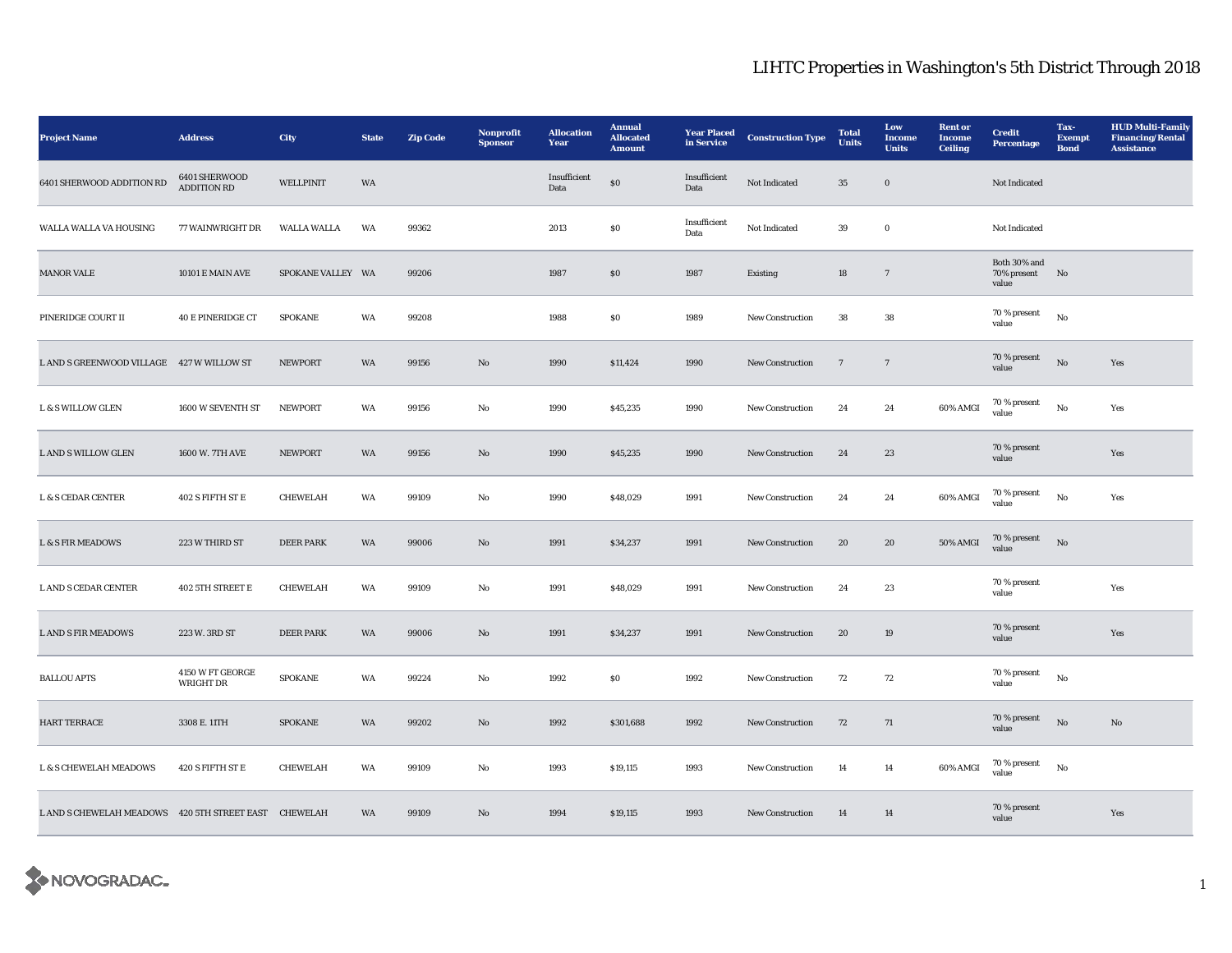| <b>Project Name</b>                                   | <b>Address</b>                | City               | <b>State</b> | <b>Zip Code</b> | Nonprofit<br><b>Sponsor</b> | <b>Allocation</b><br>Year | <b>Annual</b><br><b>Allocated</b><br><b>Amount</b> | <b>Year Placed</b><br>in Service | <b>Construction Type</b> | <b>Total</b><br><b>Units</b> | Low<br><b>Income</b><br><b>Units</b> | <b>Rent or</b><br>Income<br><b>Ceiling</b> | <b>Credit</b><br><b>Percentage</b>         | Tax-<br><b>Exempt</b><br><b>Bond</b> | <b>HUD Multi-Family</b><br><b>Financing/Rental</b><br><b>Assistance</b> |
|-------------------------------------------------------|-------------------------------|--------------------|--------------|-----------------|-----------------------------|---------------------------|----------------------------------------------------|----------------------------------|--------------------------|------------------------------|--------------------------------------|--------------------------------------------|--------------------------------------------|--------------------------------------|-------------------------------------------------------------------------|
| 6401 SHERWOOD ADDITION RD                             | 6401 SHERWOOD<br>ADDITION RD  | <b>WELLPINIT</b>   | WA           |                 |                             | Insufficient<br>Data      | $\$0$                                              | Insufficient<br>Data             | Not Indicated            | $35\,$                       | $\mathbf 0$                          |                                            | Not Indicated                              |                                      |                                                                         |
| WALLA WALLA VA HOUSING                                | 77 WAINWRIGHT DR              | <b>WALLA WALLA</b> | WA           | 99362           |                             | 2013                      | ${\bf S0}$                                         | Insufficient<br>Data             | Not Indicated            | 39                           | $\bf{0}$                             |                                            | Not Indicated                              |                                      |                                                                         |
| <b>MANOR VALE</b>                                     | 10101 E MAIN AVE              | SPOKANE VALLEY WA  |              | 99206           |                             | 1987                      | $\$0$                                              | 1987                             | Existing                 | 18                           | $\overline{7}$                       |                                            | Both $30\%$ and<br>70% present No<br>value |                                      |                                                                         |
| PINERIDGE COURT II                                    | <b>40 E PINERIDGE CT</b>      | <b>SPOKANE</b>     | WA           | 99208           |                             | 1988                      | $\$0$                                              | 1989                             | <b>New Construction</b>  | 38                           | 38                                   |                                            | 70 % present<br>value                      | $_{\rm No}$                          |                                                                         |
| L AND S GREENWOOD VILLAGE 427 W WILLOW ST             |                               | <b>NEWPORT</b>     | WA           | 99156           | $\rm No$                    | 1990                      | \$11,424                                           | 1990                             | New Construction         | $\overline{7}$               | $7\phantom{.0}$                      |                                            | 70 % present<br>value                      | $_{\rm No}$                          | Yes                                                                     |
| <b>L &amp; S WILLOW GLEN</b>                          | 1600 W SEVENTH ST             | <b>NEWPORT</b>     | WA           | 99156           | $\rm No$                    | 1990                      | \$45,235                                           | 1990                             | New Construction         | 24                           | $\bf 24$                             | 60% AMGI                                   | 70 % present<br>value                      | $\rm No$                             | Yes                                                                     |
| L AND S WILLOW GLEN                                   | 1600 W. 7TH AVE               | <b>NEWPORT</b>     | WA           | 99156           | $\mathbf{N}\mathbf{o}$      | 1990                      | \$45,235                                           | 1990                             | New Construction         | 24                           | 23                                   |                                            | 70 % present<br>value                      |                                      | Yes                                                                     |
| <b>L &amp; S CEDAR CENTER</b>                         | 402 S FIFTH ST E              | CHEWELAH           | WA           | 99109           | No                          | 1990                      | \$48,029                                           | 1991                             | <b>New Construction</b>  | 24                           | 24                                   | 60% AMGI                                   | 70 % present<br>value                      | $\rm No$                             | Yes                                                                     |
| <b>L &amp; S FIR MEADOWS</b>                          | 223 W THIRD ST                | <b>DEER PARK</b>   | WA           | 99006           | No                          | 1991                      | \$34,237                                           | 1991                             | <b>New Construction</b>  | 20                           | 20                                   | 50% AMGI                                   | 70 % present<br>value                      | No                                   |                                                                         |
| L AND S CEDAR CENTER                                  | 402 5TH STREET E              | CHEWELAH           | WA           | 99109           | No                          | 1991                      | \$48,029                                           | 1991                             | New Construction         | 24                           | 23                                   |                                            | 70 % present<br>value                      |                                      | Yes                                                                     |
| <b>L AND S FIR MEADOWS</b>                            | 223 W. 3RD ST                 | <b>DEER PARK</b>   | WA           | 99006           | $\mathbf{N}\mathbf{o}$      | 1991                      | \$34,237                                           | 1991                             | New Construction         | ${\bf 20}$                   | $19\,$                               |                                            | 70 % present<br>value                      |                                      | Yes                                                                     |
| <b>BALLOU APTS</b>                                    | 4150 W FT GEORGE<br>WRIGHT DR | <b>SPOKANE</b>     | WA           | 99224           | No                          | 1992                      | ${\bf S0}$                                         | 1992                             | <b>New Construction</b>  | 72                           | 72                                   |                                            | 70 % present<br>value                      | $_{\rm No}$                          |                                                                         |
| <b>HART TERRACE</b>                                   | 3308 E. 11TH                  | <b>SPOKANE</b>     | WA           | 99202           | $\mathbf{N}\mathbf{o}$      | 1992                      | \$301,688                                          | 1992                             | <b>New Construction</b>  | 72                           | 71                                   |                                            | 70 % present<br>value                      | No                                   | No                                                                      |
| L & S CHEWELAH MEADOWS                                | 420 S FIFTH ST E              | CHEWELAH           | WA           | 99109           | No                          | 1993                      | \$19,115                                           | 1993                             | <b>New Construction</b>  | 14                           | 14                                   | 60% AMGI                                   | 70 % present<br>value                      | $_{\rm No}$                          |                                                                         |
| L AND S CHEWELAH MEADOWS 420 5TH STREET EAST CHEWELAH |                               |                    | WA           | 99109           | No                          | 1994                      | \$19,115                                           | 1993                             | <b>New Construction</b>  | 14                           | 14                                   |                                            | 70 % present<br>value                      |                                      | Yes                                                                     |

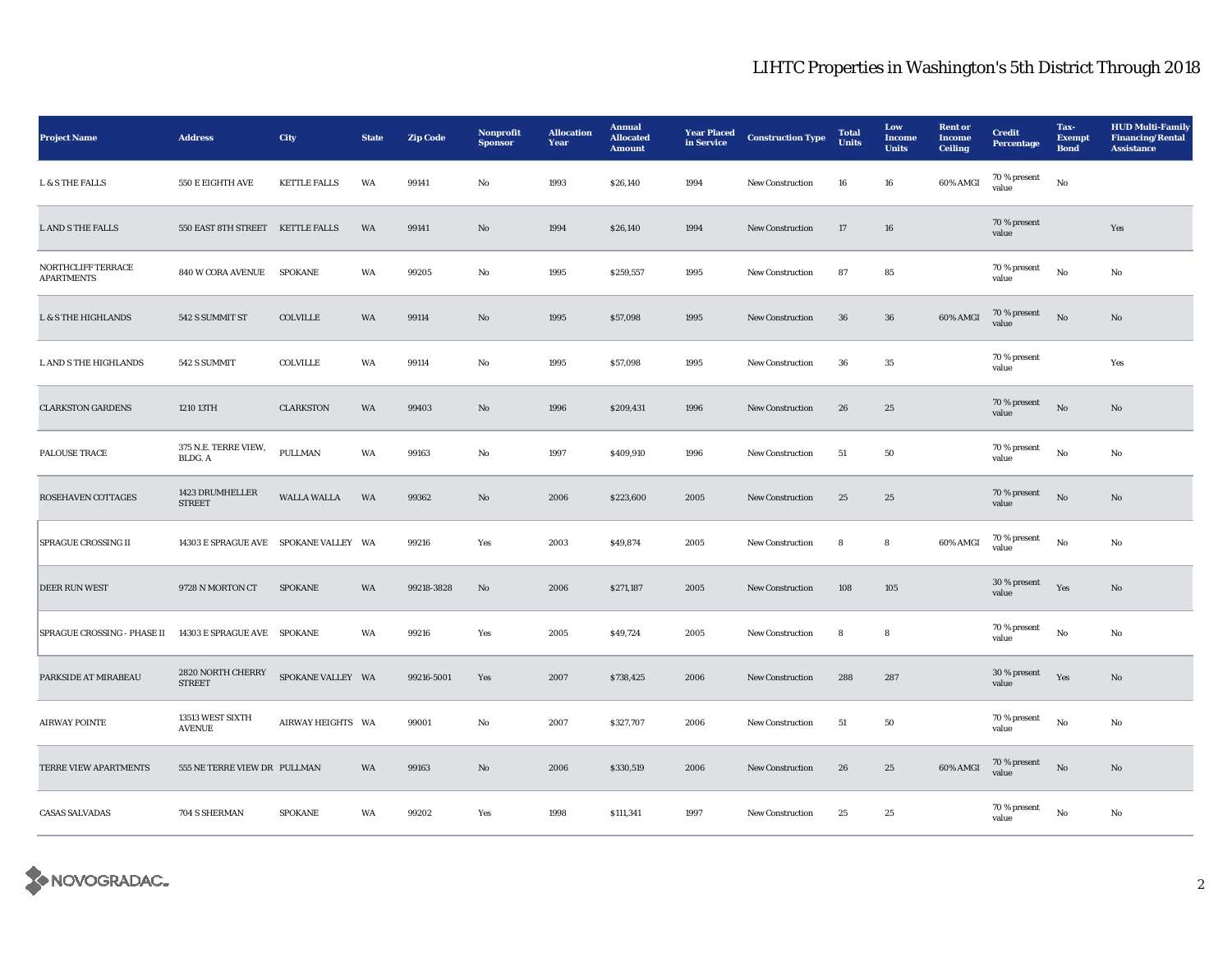| <b>Project Name</b>                     | <b>Address</b>                        | City                | <b>State</b> | <b>Zip Code</b> | Nonprofit<br><b>Sponsor</b> | <b>Allocation</b><br>Year | <b>Annual</b><br><b>Allocated</b><br><b>Amount</b> | <b>Year Placed</b><br>in Service | <b>Construction Type</b> | <b>Total</b><br><b>Units</b> | Low<br>Income<br><b>Units</b> | <b>Rent or</b><br><b>Income</b><br><b>Ceiling</b> | <b>Credit</b><br><b>Percentage</b> | Tax-<br><b>Exempt</b><br><b>Bond</b> | <b>HUD Multi-Family</b><br><b>Financing/Rental</b><br><b>Assistance</b> |
|-----------------------------------------|---------------------------------------|---------------------|--------------|-----------------|-----------------------------|---------------------------|----------------------------------------------------|----------------------------------|--------------------------|------------------------------|-------------------------------|---------------------------------------------------|------------------------------------|--------------------------------------|-------------------------------------------------------------------------|
| <b>L &amp; S THE FALLS</b>              | 550 E EIGHTH AVE                      | <b>KETTLE FALLS</b> | WA           | 99141           | No                          | 1993                      | \$26,140                                           | 1994                             | New Construction         | ${\bf 16}$                   | ${\bf 16}$                    | 60% AMGI                                          | 70 % present<br>value              | $\rm\thinspace No$                   |                                                                         |
| <b>L AND S THE FALLS</b>                | 550 EAST 8TH STREET KETTLE FALLS      |                     | WA           | 99141           | $\mathbf{No}$               | 1994                      | \$26,140                                           | 1994                             | New Construction         | 17                           | ${\bf 16}$                    |                                                   | 70 % present<br>value              |                                      | Yes                                                                     |
| NORTHCLIFF TERRACE<br><b>APARTMENTS</b> | <b>840 W CORA AVENUE</b>              | <b>SPOKANE</b>      | WA           | 99205           | No                          | 1995                      | \$259,557                                          | 1995                             | New Construction         | 87                           | 85                            |                                                   | $70\,\%$ present<br>value          | $\rm No$                             | No                                                                      |
| <b>L &amp; S THE HIGHLANDS</b>          | 542 S SUMMIT ST                       | <b>COLVILLE</b>     | WA           | 99114           | No                          | 1995                      | \$57,098                                           | 1995                             | <b>New Construction</b>  | 36                           | 36                            | 60% AMGI                                          | 70 % present<br>value              | $\rm No$                             | No                                                                      |
| L AND S THE HIGHLANDS                   | 542 S SUMMIT                          | <b>COLVILLE</b>     | WA           | 99114           | No                          | 1995                      | \$57,098                                           | 1995                             | <b>New Construction</b>  | 36                           | 35                            |                                                   | 70 % present<br>value              |                                      | Yes                                                                     |
| <b>CLARKSTON GARDENS</b>                | 1210 13TH                             | <b>CLARKSTON</b>    | WA           | 99403           | No                          | 1996                      | \$209,431                                          | 1996                             | New Construction         | 26                           | 25                            |                                                   | 70 % present<br>value              | $\rm No$                             | No                                                                      |
| PALOUSE TRACE                           | 375 N.E. TERRE VIEW,<br>BLDG. A       | PULLMAN             | WA           | 99163           | No                          | 1997                      | \$409,910                                          | 1996                             | New Construction         | 51                           | ${\bf 50}$                    |                                                   | 70 % present<br>value              | $\rm No$                             | No                                                                      |
| <b>ROSEHAVEN COTTAGES</b>               | 1423 DRUMHELLER<br><b>STREET</b>      | <b>WALLA WALLA</b>  | <b>WA</b>    | 99362           | No                          | 2006                      | \$223,600                                          | 2005                             | <b>New Construction</b>  | 25                           | 25                            |                                                   | 70 % present<br>value              | $\mathbf{No}$                        | No                                                                      |
| <b>SPRAGUE CROSSING II</b>              | 14303 E SPRAGUE AVE SPOKANE VALLEY WA |                     |              | 99216           | Yes                         | 2003                      | \$49,874                                           | 2005                             | <b>New Construction</b>  | 8                            | 8                             | 60% AMGI                                          | 70 % present<br>value              | $\rm No$                             | No                                                                      |
| <b>DEER RUN WEST</b>                    | 9728 N MORTON CT                      | <b>SPOKANE</b>      | WA           | 99218-3828      | No                          | 2006                      | \$271,187                                          | 2005                             | <b>New Construction</b>  | 108                          | 105                           |                                                   | 30 % present<br>value              | Yes                                  | No                                                                      |
| SPRAGUE CROSSING - PHASE II             | 14303 E SPRAGUE AVE SPOKANE           |                     | WA           | 99216           | Yes                         | 2005                      | \$49,724                                           | 2005                             | New Construction         | 8                            | 8                             |                                                   | 70 % present<br>value              | $\rm No$                             | No                                                                      |
| PARKSIDE AT MIRABEAU                    | 2820 NORTH CHERRY<br><b>STREET</b>    | SPOKANE VALLEY WA   |              | 99216-5001      | Yes                         | 2007                      | \$738,425                                          | 2006                             | <b>New Construction</b>  | 288                          | 287                           |                                                   | 30 % present<br>value              | Yes                                  | No                                                                      |
| <b>AIRWAY POINTE</b>                    | 13513 WEST SIXTH<br><b>AVENUE</b>     | AIRWAY HEIGHTS WA   |              | 99001           | No                          | 2007                      | \$327,707                                          | 2006                             | New Construction         | 51                           | 50                            |                                                   | 70 % present<br>value              | No                                   | No                                                                      |
| TERRE VIEW APARTMENTS                   | 555 NE TERRE VIEW DR PULLMAN          |                     | WA           | 99163           | No                          | 2006                      | \$330,519                                          | 2006                             | <b>New Construction</b>  | 26                           | 25                            | 60% AMGI                                          | 70 % present<br>value              | $_{\rm No}$                          | No                                                                      |
| <b>CASAS SALVADAS</b>                   | 704 S SHERMAN                         | <b>SPOKANE</b>      | WA           | 99202           | Yes                         | 1998                      | \$111,341                                          | 1997                             | <b>New Construction</b>  | 25                           | $\bf 25$                      |                                                   | 70 % present<br>value              | No                                   | No                                                                      |

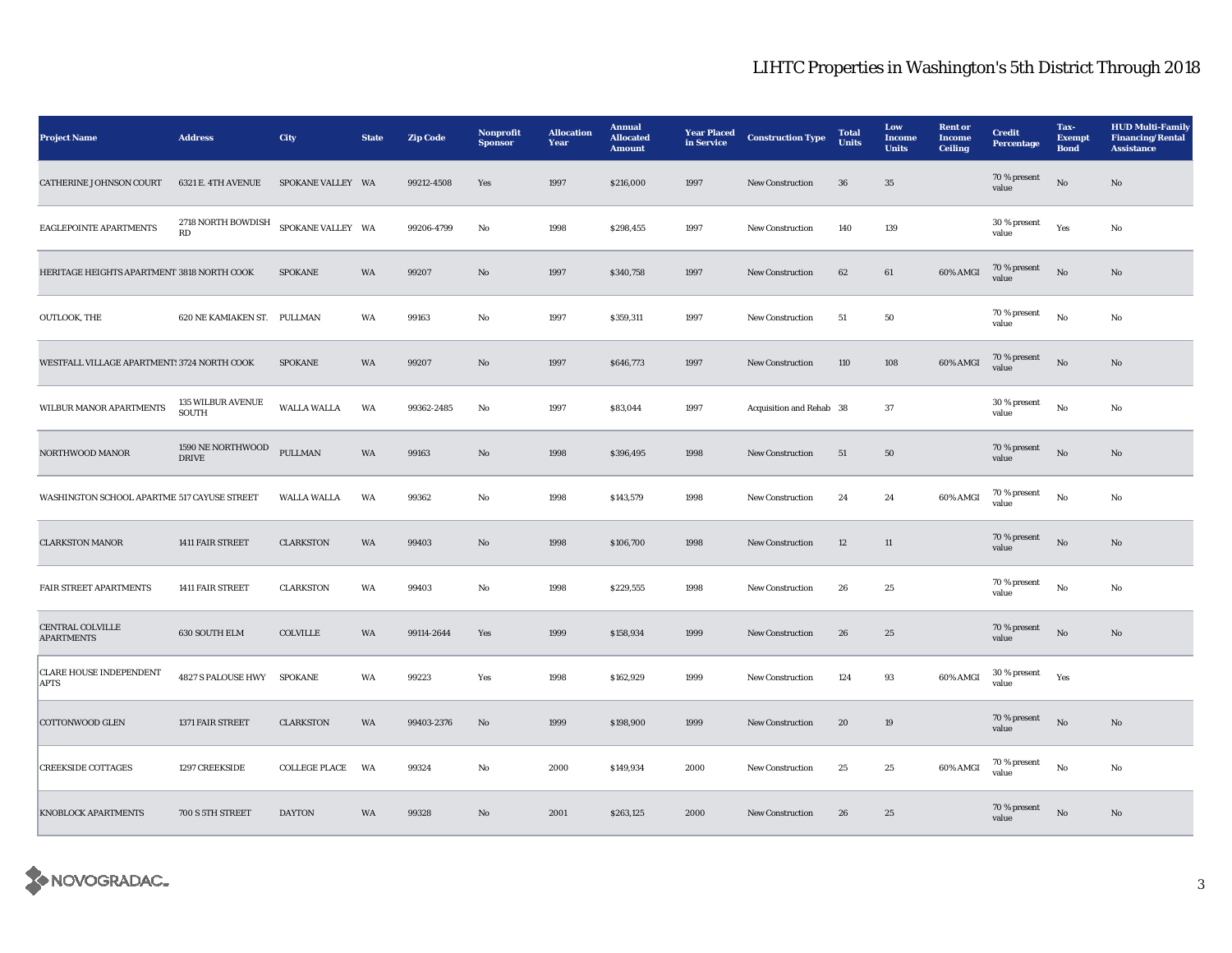| <b>Project Name</b>                           | <b>Address</b>                                    | City                 | <b>State</b> | <b>Zip Code</b> | Nonprofit<br><b>Sponsor</b> | <b>Allocation</b><br>Year | <b>Annual</b><br><b>Allocated</b><br><b>Amount</b> | <b>Year Placed</b><br>in Service | <b>Construction Type</b> | <b>Total</b><br><b>Units</b> | Low<br><b>Income</b><br><b>Units</b> | <b>Rent or</b><br>Income<br><b>Ceiling</b> | <b>Credit</b><br><b>Percentage</b> | Tax-<br><b>Exempt</b><br><b>Bond</b> | <b>HUD Multi-Family</b><br><b>Financing/Rental</b><br><b>Assistance</b> |
|-----------------------------------------------|---------------------------------------------------|----------------------|--------------|-----------------|-----------------------------|---------------------------|----------------------------------------------------|----------------------------------|--------------------------|------------------------------|--------------------------------------|--------------------------------------------|------------------------------------|--------------------------------------|-------------------------------------------------------------------------|
| CATHERINE JOHNSON COURT                       | 6321 E. 4TH AVENUE                                | SPOKANE VALLEY WA    |              | 99212-4508      | Yes                         | 1997                      | \$216,000                                          | 1997                             | <b>New Construction</b>  | 36                           | 35                                   |                                            | $70$ % present<br>value            | $\rm No$                             | No                                                                      |
| EAGLEPOINTE APARTMENTS                        | 2718 NORTH BOWDISH SPOKANE VALLEY WA<br><b>RD</b> |                      |              | 99206-4799      | No                          | 1998                      | \$298,455                                          | 1997                             | New Construction         | 140                          | 139                                  |                                            | $30\,\%$ present<br>value          | Yes                                  | No                                                                      |
| HERITAGE HEIGHTS APARTMENT 3818 NORTH COOK    |                                                   | <b>SPOKANE</b>       | WA           | 99207           | No                          | 1997                      | \$340,758                                          | 1997                             | <b>New Construction</b>  | 62                           | 61                                   | 60% AMGI                                   | 70 % present<br>value              | No                                   | No                                                                      |
| <b>OUTLOOK, THE</b>                           | 620 NE KAMIAKEN ST. PULLMAN                       |                      | WA           | 99163           | No                          | 1997                      | \$359,311                                          | 1997                             | <b>New Construction</b>  | 51                           | 50                                   |                                            | 70 % present<br>value              | $_{\rm No}$                          | No                                                                      |
| WESTFALL VILLAGE APARTMENTS 3724 NORTH COOK   |                                                   | <b>SPOKANE</b>       | WA           | 99207           | $\mathbf{N}\mathbf{o}$      | 1997                      | \$646,773                                          | 1997                             | New Construction         | 110                          | 108                                  | 60% AMGI                                   | 70 % present<br>value              | $\rm No$                             | $\mathbf{N}\mathbf{o}$                                                  |
| WILBUR MANOR APARTMENTS                       | <b>135 WILBUR AVENUE</b><br>SOUTH                 | <b>WALLA WALLA</b>   | WA           | 99362-2485      | No                          | 1997                      | \$83,044                                           | 1997                             | Acquisition and Rehab 38 |                              | 37                                   |                                            | 30 % present<br>value              | $\rm\thinspace No$                   | $\rm No$                                                                |
| NORTHWOOD MANOR                               | 1590 NE NORTHWOOD<br><b>DRIVE</b>                 | PULLMAN              | WA           | 99163           | $\mathbf{N}\mathbf{o}$      | 1998                      | \$396,495                                          | 1998                             | New Construction         | 51                           | 50                                   |                                            | 70 % present<br>value              | $_{\rm No}$                          | No                                                                      |
| WASHINGTON SCHOOL APARTME 517 CAYUSE STREET   |                                                   | <b>WALLA WALLA</b>   | WA           | 99362           | No                          | 1998                      | \$143,579                                          | 1998                             | New Construction         | 24                           | 24                                   | 60% AMGI                                   | 70 % present<br>value              | No                                   | No                                                                      |
| <b>CLARKSTON MANOR</b>                        | 1411 FAIR STREET                                  | <b>CLARKSTON</b>     | WA           | 99403           | $\mathbf{N}\mathbf{o}$      | 1998                      | \$106,700                                          | 1998                             | <b>New Construction</b>  | $12\,$                       | $11\,$                               |                                            | 70 % present<br>value              | $\mathbf{N}\mathbf{o}$               | No                                                                      |
| FAIR STREET APARTMENTS                        | 1411 FAIR STREET                                  | <b>CLARKSTON</b>     | WA           | 99403           | No                          | 1998                      | \$229,555                                          | 1998                             | New Construction         | 26                           | $\bf 25$                             |                                            | 70 % present<br>value              | No                                   | No                                                                      |
| <b>CENTRAL COLVILLE</b><br><b>APARTMENTS</b>  | 630 SOUTH ELM                                     | COLVILLE             | WA           | 99114-2644      | Yes                         | 1999                      | \$158,934                                          | 1999                             | New Construction         | 26                           | $25\,$                               |                                            | 70 % present<br>value              | $\rm No$                             | No                                                                      |
| <b>CLARE HOUSE INDEPENDENT</b><br><b>APTS</b> | 4827 S PALOUSE HWY                                | <b>SPOKANE</b>       | WA           | 99223           | Yes                         | 1998                      | \$162,929                                          | 1999                             | <b>New Construction</b>  | 124                          | 93                                   | 60% AMGI                                   | 30 % present<br>value              | Yes                                  |                                                                         |
| <b>COTTONWOOD GLEN</b>                        | 1371 FAIR STREET                                  | <b>CLARKSTON</b>     | WA           | 99403-2376      | $\mathbf{N}\mathbf{o}$      | 1999                      | \$198,900                                          | 1999                             | New Construction         | 20                           | 19                                   |                                            | 70 % present<br>value              | No                                   | No                                                                      |
| <b>CREEKSIDE COTTAGES</b>                     | 1297 CREEKSIDE                                    | <b>COLLEGE PLACE</b> | WA           | 99324           | No                          | 2000                      | \$149,934                                          | 2000                             | <b>New Construction</b>  | 25                           | 25                                   | 60% AMGI                                   | 70 % present<br>value              | No                                   | No                                                                      |
| <b>KNOBLOCK APARTMENTS</b>                    | 700 S 5TH STREET                                  | <b>DAYTON</b>        | <b>WA</b>    | 99328           | No                          | 2001                      | \$263,125                                          | 2000                             | <b>New Construction</b>  | 26                           | 25                                   |                                            | 70 % present<br>value              | No                                   | No                                                                      |

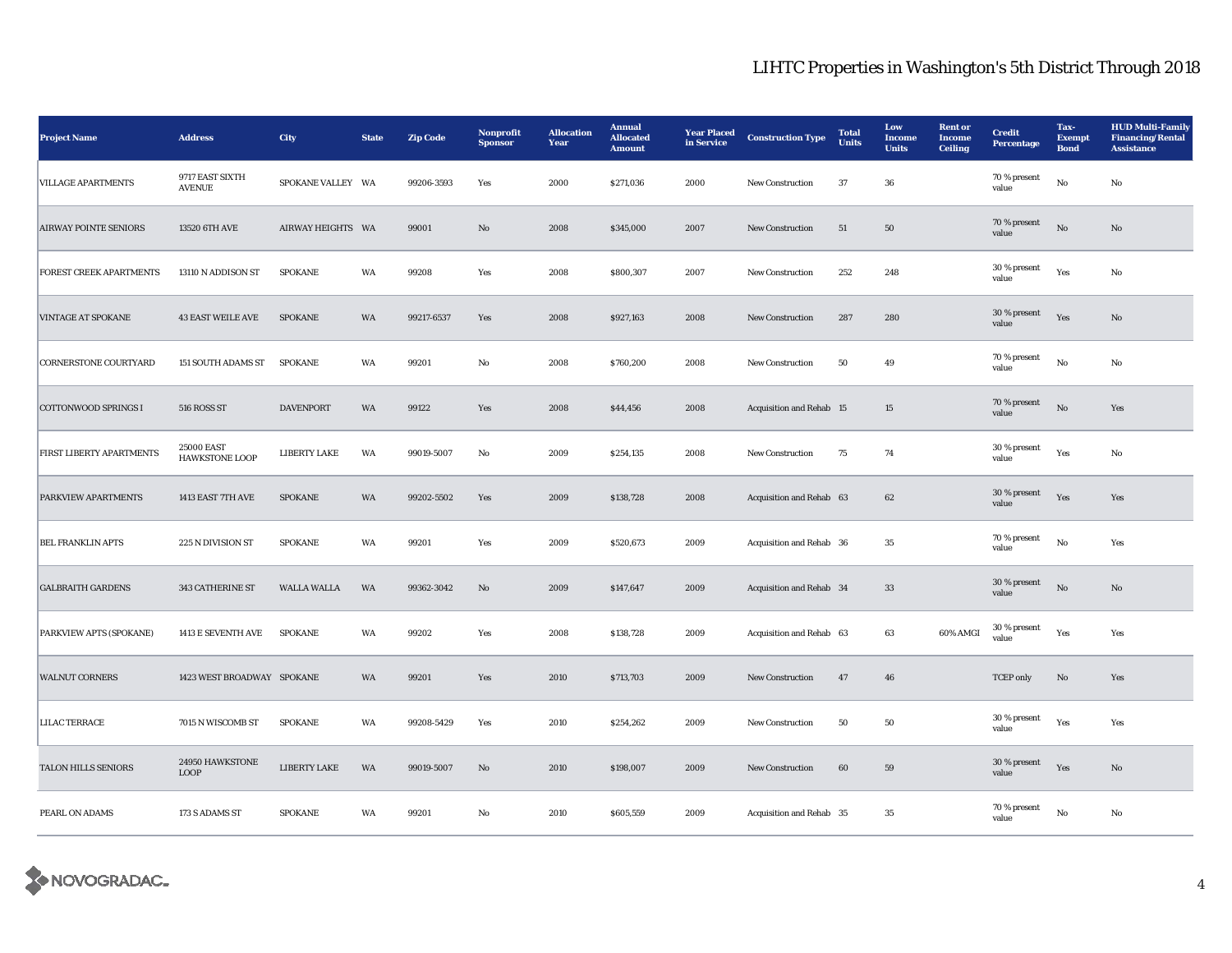| <b>Project Name</b>            | <b>Address</b>                      | City                | <b>State</b> | <b>Zip Code</b> | Nonprofit<br><b>Sponsor</b> | <b>Allocation</b><br>Year | <b>Annual</b><br><b>Allocated</b><br><b>Amount</b> | <b>Year Placed</b><br>in Service | <b>Construction Type</b> | <b>Total</b><br>Units | Low<br><b>Income</b><br><b>Units</b> | <b>Rent or</b><br><b>Income</b><br><b>Ceiling</b> | <b>Credit</b><br>Percentage | Tax-<br>Exempt<br><b>Bond</b> | <b>HUD Multi-Family</b><br><b>Financing/Rental</b><br><b>Assistance</b> |
|--------------------------------|-------------------------------------|---------------------|--------------|-----------------|-----------------------------|---------------------------|----------------------------------------------------|----------------------------------|--------------------------|-----------------------|--------------------------------------|---------------------------------------------------|-----------------------------|-------------------------------|-------------------------------------------------------------------------|
| <b>VILLAGE APARTMENTS</b>      | 9717 EAST SIXTH<br><b>AVENUE</b>    | SPOKANE VALLEY WA   |              | 99206-3593      | Yes                         | 2000                      | \$271,036                                          | 2000                             | New Construction         | 37                    | 36                                   |                                                   | 70 % present<br>value       | No                            | No                                                                      |
| <b>AIRWAY POINTE SENIORS</b>   | 13520 6TH AVE                       | AIRWAY HEIGHTS WA   |              | 99001           | $\mathbf{N}\mathbf{o}$      | 2008                      | \$345,000                                          | 2007                             | <b>New Construction</b>  | $51\,$                | 50                                   |                                                   | 70 % present<br>value       | $\mathbf{N}\mathbf{o}$        | No                                                                      |
| <b>FOREST CREEK APARTMENTS</b> | 13110 N ADDISON ST                  | <b>SPOKANE</b>      | WA           | 99208           | Yes                         | 2008                      | \$800,307                                          | 2007                             | <b>New Construction</b>  | 252                   | 248                                  |                                                   | 30 % present<br>value       | Yes                           | No                                                                      |
| <b>VINTAGE AT SPOKANE</b>      | <b>43 EAST WEILE AVE</b>            | <b>SPOKANE</b>      | WA           | 99217-6537      | Yes                         | 2008                      | \$927,163                                          | 2008                             | New Construction         | 287                   | 280                                  |                                                   | 30 % present<br>value       | Yes                           | $\mathbf{No}$                                                           |
| <b>CORNERSTONE COURTYARD</b>   | <b>151 SOUTH ADAMS ST</b>           | <b>SPOKANE</b>      | WA           | 99201           | No                          | 2008                      | \$760,200                                          | 2008                             | <b>New Construction</b>  | 50                    | 49                                   |                                                   | 70 % present<br>value       | No                            | No                                                                      |
| <b>COTTONWOOD SPRINGS I</b>    | 516 ROSS ST                         | <b>DAVENPORT</b>    | WA           | 99122           | Yes                         | 2008                      | \$44,456                                           | 2008                             | Acquisition and Rehab 15 |                       | 15                                   |                                                   | 70 % present<br>value       | $_{\rm No}$                   | Yes                                                                     |
| FIRST LIBERTY APARTMENTS       | 25000 EAST<br><b>HAWKSTONE LOOP</b> | <b>LIBERTY LAKE</b> | WA           | 99019-5007      | No                          | 2009                      | \$254,135                                          | 2008                             | <b>New Construction</b>  | 75                    | 74                                   |                                                   | 30 % present<br>value       | Yes                           | No                                                                      |
| PARKVIEW APARTMENTS            | 1413 EAST 7TH AVE                   | <b>SPOKANE</b>      | WA           | 99202-5502      | Yes                         | 2009                      | \$138,728                                          | 2008                             | Acquisition and Rehab 63 |                       | 62                                   |                                                   | 30 % present<br>value       | Yes                           | Yes                                                                     |
| <b>BEL FRANKLIN APTS</b>       | 225 N DIVISION ST                   | <b>SPOKANE</b>      | WA           | 99201           | Yes                         | 2009                      | \$520,673                                          | 2009                             | Acquisition and Rehab 36 |                       | 35                                   |                                                   | 70 % present<br>value       | No                            | Yes                                                                     |
| <b>GALBRAITH GARDENS</b>       | <b>343 CATHERINE ST</b>             | <b>WALLA WALLA</b>  | <b>WA</b>    | 99362-3042      | No                          | 2009                      | \$147,647                                          | 2009                             | Acquisition and Rehab 34 |                       | 33                                   |                                                   | 30 % present<br>value       | No                            | No                                                                      |
| PARKVIEW APTS (SPOKANE)        | 1413 E SEVENTH AVE                  | <b>SPOKANE</b>      | WA           | 99202           | Yes                         | 2008                      | \$138,728                                          | 2009                             | Acquisition and Rehab 63 |                       | 63                                   | 60% AMGI                                          | 30 % present<br>value       | Yes                           | Yes                                                                     |
| <b>WALNUT CORNERS</b>          | 1423 WEST BROADWAY SPOKANE          |                     | WA           | 99201           | Yes                         | 2010                      | \$713,703                                          | 2009                             | New Construction         | 47                    | 46                                   |                                                   | <b>TCEP</b> only            | $\mathbf{No}$                 | Yes                                                                     |
| <b>LILAC TERRACE</b>           | 7015 N WISCOMB ST                   | <b>SPOKANE</b>      | WA           | 99208-5429      | Yes                         | 2010                      | \$254,262                                          | 2009                             | New Construction         | 50                    | 50                                   |                                                   | $30$ % present<br>value     | Yes                           | Yes                                                                     |
| <b>TALON HILLS SENIORS</b>     | 24950 HAWKSTONE<br><b>LOOP</b>      | LIBERTY LAKE        | WA           | 99019-5007      | $\rm No$                    | 2010                      | \$198,007                                          | 2009                             | <b>New Construction</b>  | 60                    | 59                                   |                                                   | 30 % present<br>value       | Yes                           | $\mathbf{N}\mathbf{o}$                                                  |
| PEARL ON ADAMS                 | 173 S ADAMS ST                      | <b>SPOKANE</b>      | WA           | 99201           | No                          | 2010                      | \$605,559                                          | 2009                             | Acquisition and Rehab 35 |                       | 35                                   |                                                   | 70 % present<br>value       | No                            | No                                                                      |

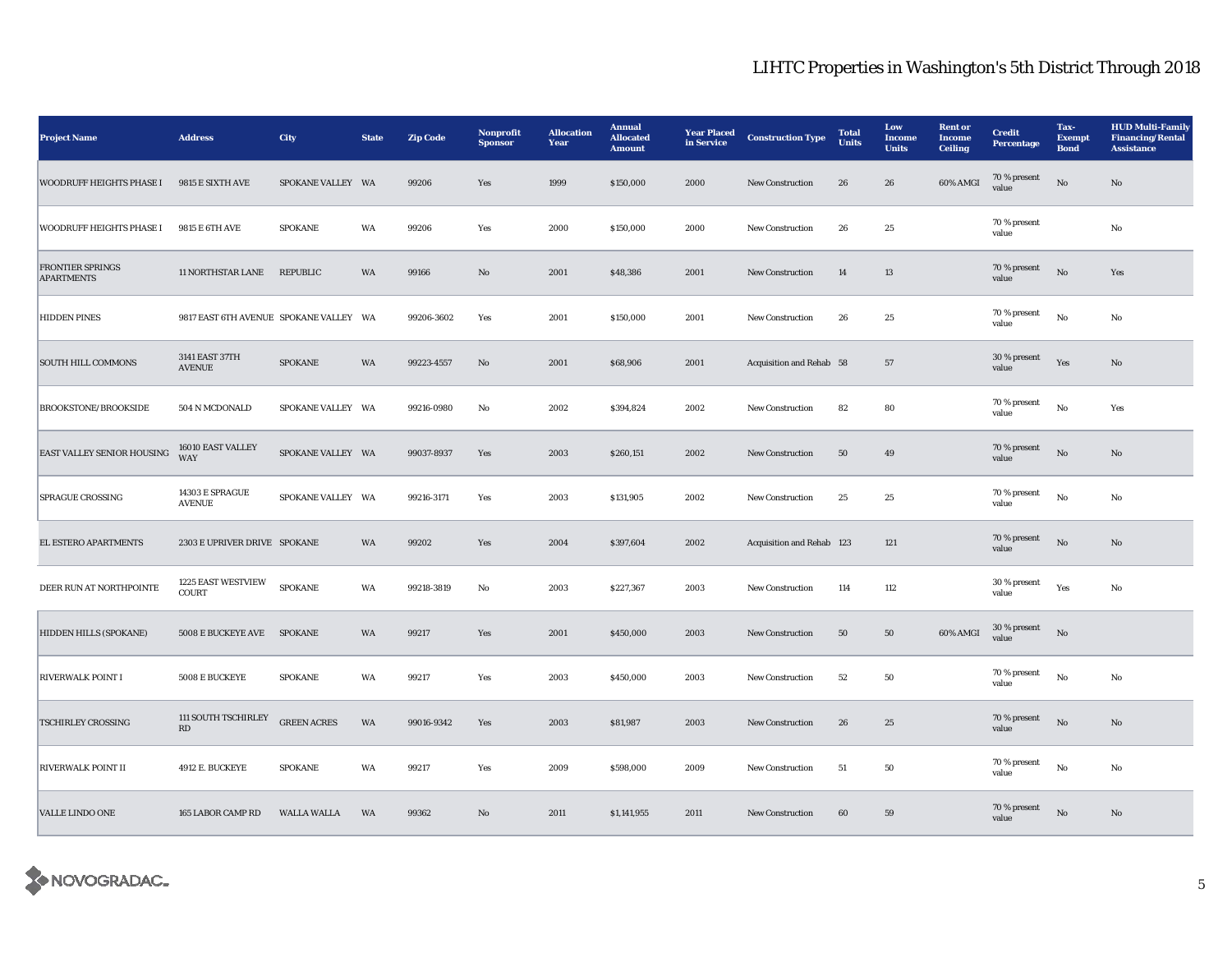| <b>Project Name</b>                          | <b>Address</b>                                | City               | <b>State</b> | <b>Zip Code</b> | Nonprofit<br><b>Sponsor</b> | <b>Allocation</b><br>Year | <b>Annual</b><br><b>Allocated</b><br><b>Amount</b> | <b>Year Placed</b><br>in Service | <b>Construction Type</b>  | <b>Total</b><br><b>Units</b> | Low<br>Income<br><b>Units</b> | <b>Rent or</b><br>Income<br><b>Ceiling</b> | <b>Credit</b><br><b>Percentage</b> | Tax-<br><b>Exempt</b><br><b>Bond</b> | <b>HUD Multi-Family</b><br><b>Financing/Rental</b><br><b>Assistance</b> |
|----------------------------------------------|-----------------------------------------------|--------------------|--------------|-----------------|-----------------------------|---------------------------|----------------------------------------------------|----------------------------------|---------------------------|------------------------------|-------------------------------|--------------------------------------------|------------------------------------|--------------------------------------|-------------------------------------------------------------------------|
| <b>WOODRUFF HEIGHTS PHASE I</b>              | 9815 E SIXTH AVE                              | SPOKANE VALLEY WA  |              | 99206           | Yes                         | 1999                      | \$150,000                                          | 2000                             | New Construction          | 26                           | ${\bf 26}$                    | 60% AMGI                                   | 70 % present<br>value              | $\rm \bf No$                         | $\rm No$                                                                |
| WOODRUFF HEIGHTS PHASE I                     | 9815 E 6TH AVE                                | <b>SPOKANE</b>     | WA           | 99206           | Yes                         | 2000                      | \$150,000                                          | 2000                             | New Construction          | ${\bf 26}$                   | $\bf 25$                      |                                            | 70 % present<br>value              |                                      | $\rm No$                                                                |
| <b>FRONTIER SPRINGS</b><br><b>APARTMENTS</b> | 11 NORTHSTAR LANE                             | REPUBLIC           | WA           | 99166           | $\rm No$                    | 2001                      | \$48,386                                           | 2001                             | New Construction          | 14                           | $13\,$                        |                                            | 70 % present<br>value              | $\rm \bf No$                         | Yes                                                                     |
| <b>HIDDEN PINES</b>                          | 9817 EAST 6TH AVENUE SPOKANE VALLEY WA        |                    |              | 99206-3602      | Yes                         | 2001                      | \$150,000                                          | 2001                             | New Construction          | 26                           | 25                            |                                            | 70 % present<br>value              | $_{\rm No}$                          | $\rm No$                                                                |
| <b>SOUTH HILL COMMONS</b>                    | 3141 EAST 37TH<br><b>AVENUE</b>               | <b>SPOKANE</b>     | WA           | 99223-4557      | No                          | 2001                      | \$68,906                                           | 2001                             | Acquisition and Rehab 58  |                              | $57\,$                        |                                            | 30 % present<br>value              | Yes                                  | No                                                                      |
| BROOKSTONE/BROOKSIDE                         | 504 N MCDONALD                                | SPOKANE VALLEY WA  |              | 99216-0980      | No                          | 2002                      | \$394,824                                          | 2002                             | New Construction          | 82                           | 80                            |                                            | 70 % present<br>value              | $_{\rm No}$                          | Yes                                                                     |
| EAST VALLEY SENIOR HOUSING                   | 16010 EAST VALLEY<br>WAY                      | SPOKANE VALLEY WA  |              | 99037-8937      | Yes                         | 2003                      | \$260,151                                          | 2002                             | New Construction          | 50                           | 49                            |                                            | 70 % present<br>value              | $\rm\thinspace No$                   | No                                                                      |
| <b>SPRAGUE CROSSING</b>                      | 14303 E SPRAGUE<br><b>AVENUE</b>              | SPOKANE VALLEY WA  |              | 99216-3171      | Yes                         | 2003                      | \$131,905                                          | 2002                             | New Construction          | $25\,$                       | 25                            |                                            | $70\,\%$ present<br>value          | No                                   | No                                                                      |
| EL ESTERO APARTMENTS                         | 2303 E UPRIVER DRIVE SPOKANE                  |                    | WA           | 99202           | Yes                         | 2004                      | \$397,604                                          | 2002                             | Acquisition and Rehab 123 |                              | 121                           |                                            | 70 % present<br>value              | $_{\rm No}$                          | $\rm No$                                                                |
| DEER RUN AT NORTHPOINTE                      | 1225 EAST WESTVIEW<br>COURT                   | <b>SPOKANE</b>     | WA           | 99218-3819      | $\rm No$                    | 2003                      | \$227,367                                          | 2003                             | New Construction          | 114                          | 112                           |                                            | 30 % present<br>value              | Yes                                  | No                                                                      |
| HIDDEN HILLS (SPOKANE)                       | 5008 E BUCKEYE AVE                            | <b>SPOKANE</b>     | WA           | 99217           | Yes                         | 2001                      | \$450,000                                          | 2003                             | New Construction          | 50                           | 50                            | 60% AMGI                                   | 30 % present<br>value              | $\rm \bf No$                         |                                                                         |
| <b>RIVERWALK POINT I</b>                     | 5008 E BUCKEYE                                | <b>SPOKANE</b>     | WA           | 99217           | Yes                         | 2003                      | \$450,000                                          | 2003                             | New Construction          | $52\,$                       | ${\bf 50}$                    |                                            | 70 % present<br>value              | $_{\rm No}$                          | No                                                                      |
| TSCHIRLEY CROSSING                           | 111 SOUTH TSCHIRLEY<br>$\mathbf{R}\mathbf{D}$ | <b>GREEN ACRES</b> | WA           | 99016-9342      | Yes                         | 2003                      | \$81,987                                           | 2003                             | New Construction          | ${\bf 26}$                   | $25\,$                        |                                            | 70 % present<br>value              | $\rm No$                             | $\mathbf{N}\mathbf{o}$                                                  |
| <b>RIVERWALK POINT II</b>                    | 4912 E. BUCKEYE                               | <b>SPOKANE</b>     | WA           | 99217           | Yes                         | 2009                      | \$598,000                                          | 2009                             | New Construction          | 51                           | 50                            |                                            | 70 % present<br>value              | $\rm No$                             | No                                                                      |
| <b>VALLE LINDO ONE</b>                       | <b>165 LABOR CAMP RD</b>                      | <b>WALLA WALLA</b> | WA           | 99362           | $\rm No$                    | 2011                      | \$1,141,955                                        | 2011                             | <b>New Construction</b>   | 60                           | ${\bf 59}$                    |                                            | 70 % present<br>value              | $\rm No$                             | $\mathbf{N}\mathbf{o}$                                                  |

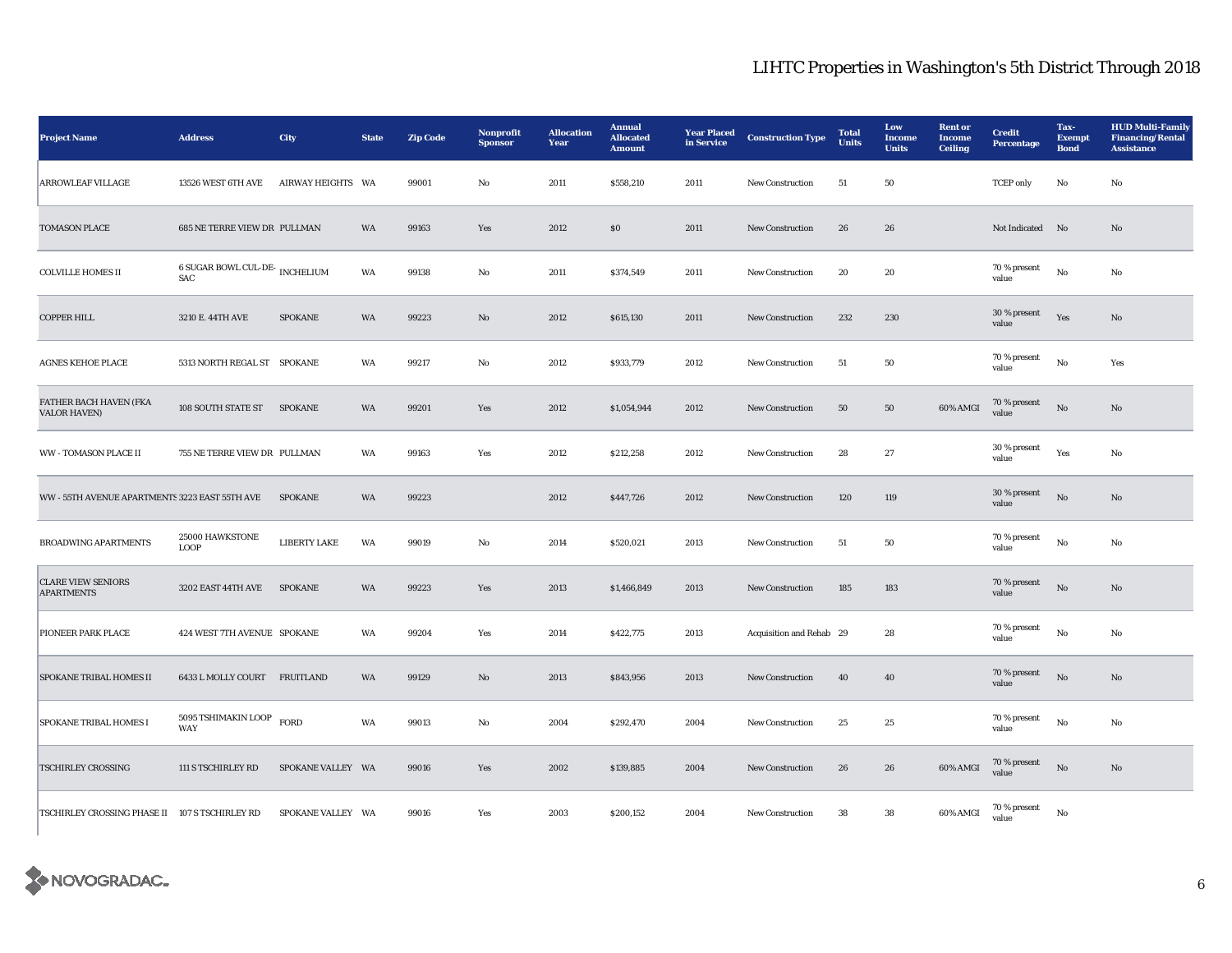| <b>Project Name</b>                            | <b>Address</b>                               | City                | <b>State</b> | <b>Zip Code</b> | Nonprofit<br><b>Sponsor</b> | <b>Allocation</b><br>Year | <b>Annual</b><br><b>Allocated</b><br><b>Amount</b> | <b>Year Placed</b><br>in Service | <b>Construction Type</b> | <b>Total</b><br><b>Units</b> | Low<br><b>Income</b><br><b>Units</b> | <b>Rent or</b><br><b>Income</b><br><b>Ceiling</b> | <b>Credit</b><br><b>Percentage</b> | Tax-<br><b>Exempt</b><br><b>Bond</b> | <b>HUD Multi-Family</b><br><b>Financing/Rental</b><br><b>Assistance</b> |
|------------------------------------------------|----------------------------------------------|---------------------|--------------|-----------------|-----------------------------|---------------------------|----------------------------------------------------|----------------------------------|--------------------------|------------------------------|--------------------------------------|---------------------------------------------------|------------------------------------|--------------------------------------|-------------------------------------------------------------------------|
| <b>ARROWLEAF VILLAGE</b>                       | 13526 WEST 6TH AVE                           | AIRWAY HEIGHTS WA   |              | 99001           | No                          | 2011                      | \$558,210                                          | 2011                             | <b>New Construction</b>  | 51                           | 50                                   |                                                   | <b>TCEP</b> only                   | No                                   | No                                                                      |
| TOMASON PLACE                                  | 685 NE TERRE VIEW DR PULLMAN                 |                     | WA           | 99163           | Yes                         | 2012                      | \$0                                                | 2011                             | <b>New Construction</b>  | 26                           | 26                                   |                                                   | Not Indicated No                   |                                      | No                                                                      |
| <b>COLVILLE HOMES II</b>                       | <b>6 SUGAR BOWL CUL-DE-</b> INCHELIUM<br>SAC |                     | WA           | 99138           | No                          | 2011                      | \$374,549                                          | 2011                             | <b>New Construction</b>  | 20                           | 20                                   |                                                   | 70 % present<br>value              | $\mathbf{No}$                        | No                                                                      |
| <b>COPPER HILL</b>                             | 3210 E. 44TH AVE                             | <b>SPOKANE</b>      | WA           | 99223           | No                          | 2012                      | \$615,130                                          | 2011                             | <b>New Construction</b>  | 232                          | 230                                  |                                                   | 30 % present<br>value              | Yes                                  | No                                                                      |
| AGNES KEHOE PLACE                              | 5313 NORTH REGAL ST SPOKANE                  |                     | WA           | 99217           | No                          | 2012                      | \$933,779                                          | 2012                             | <b>New Construction</b>  | 51                           | 50                                   |                                                   | 70 % present<br>value              | $_{\rm No}$                          | Yes                                                                     |
| FATHER BACH HAVEN (FKA<br><b>VALOR HAVEN)</b>  | 108 SOUTH STATE ST                           | <b>SPOKANE</b>      | WA           | 99201           | Yes                         | 2012                      | \$1,054,944                                        | 2012                             | New Construction         | 50                           | $50\,$                               | 60% AMGI                                          | 70 % present<br>value              | $\rm No$                             | $\mathbf{N}\mathbf{o}$                                                  |
| <b>WW - TOMASON PLACE II</b>                   | 755 NE TERRE VIEW DR PULLMAN                 |                     | WA           | 99163           | Yes                         | 2012                      | \$212,258                                          | 2012                             | <b>New Construction</b>  | 28                           | 27                                   |                                                   | 30 % present<br>value              | Yes                                  | No                                                                      |
| WW - 55TH AVENUE APARTMENTS 3223 EAST 55TH AVE |                                              | <b>SPOKANE</b>      | WA           | 99223           |                             | 2012                      | \$447,726                                          | 2012                             | <b>New Construction</b>  | 120                          | 119                                  |                                                   | 30 % present<br>value              | $_{\rm No}$                          | $\mathbf{N}\mathbf{o}$                                                  |
| <b>BROADWING APARTMENTS</b>                    | 25000 HAWKSTONE<br><b>LOOP</b>               | <b>LIBERTY LAKE</b> | WA           | 99019           | No                          | 2014                      | \$520,021                                          | 2013                             | <b>New Construction</b>  | 51                           | 50                                   |                                                   | 70 % present<br>value              | No                                   | No                                                                      |
| <b>CLARE VIEW SENIORS</b><br><b>APARTMENTS</b> | 3202 EAST 44TH AVE                           | <b>SPOKANE</b>      | WA           | 99223           | Yes                         | 2013                      | \$1,466,849                                        | 2013                             | New Construction         | 185                          | 183                                  |                                                   | 70 % present<br>value              | $\rm No$                             | No                                                                      |
| PIONEER PARK PLACE                             | 424 WEST 7TH AVENUE SPOKANE                  |                     | WA           | 99204           | Yes                         | 2014                      | \$422,775                                          | 2013                             | Acquisition and Rehab 29 |                              | 28                                   |                                                   | $70\,\%$ present<br>value          | $\mathbf{No}$                        | No                                                                      |
| SPOKANE TRIBAL HOMES II                        | 6433 L MOLLY COURT FRUITLAND                 |                     | WA           | 99129           | $\rm No$                    | 2013                      | \$843,956                                          | 2013                             | New Construction         | 40                           | 40                                   |                                                   | 70 % present<br>value              | $\rm No$                             | $\mathbf{N}\mathbf{o}$                                                  |
| SPOKANE TRIBAL HOMES I                         | 5095 TSHIMAKIN LOOP<br>WAY                   | <b>FORD</b>         | WA           | 99013           | No                          | 2004                      | \$292,470                                          | 2004                             | <b>New Construction</b>  | 25                           | 25                                   |                                                   | 70 % present<br>value              | $\mathbf{No}$                        | No                                                                      |
| TSCHIRLEY CROSSING                             | 111 S TSCHIRLEY RD                           | SPOKANE VALLEY WA   |              | 99016           | Yes                         | 2002                      | \$139,885                                          | 2004                             | New Construction         | 26                           | 26                                   | 60% AMGI                                          | $70\,\%$ present<br>value          | $_{\rm No}$                          | $\mathbf{N}\mathbf{o}$                                                  |
| TSCHIRLEY CROSSING PHASE II 107 S TSCHIRLEY RD |                                              | SPOKANE VALLEY WA   |              | 99016           | Yes                         | 2003                      | \$200,152                                          | 2004                             | <b>New Construction</b>  | 38                           | 38                                   | 60% AMGI                                          | 70 % present<br>value              | No                                   |                                                                         |

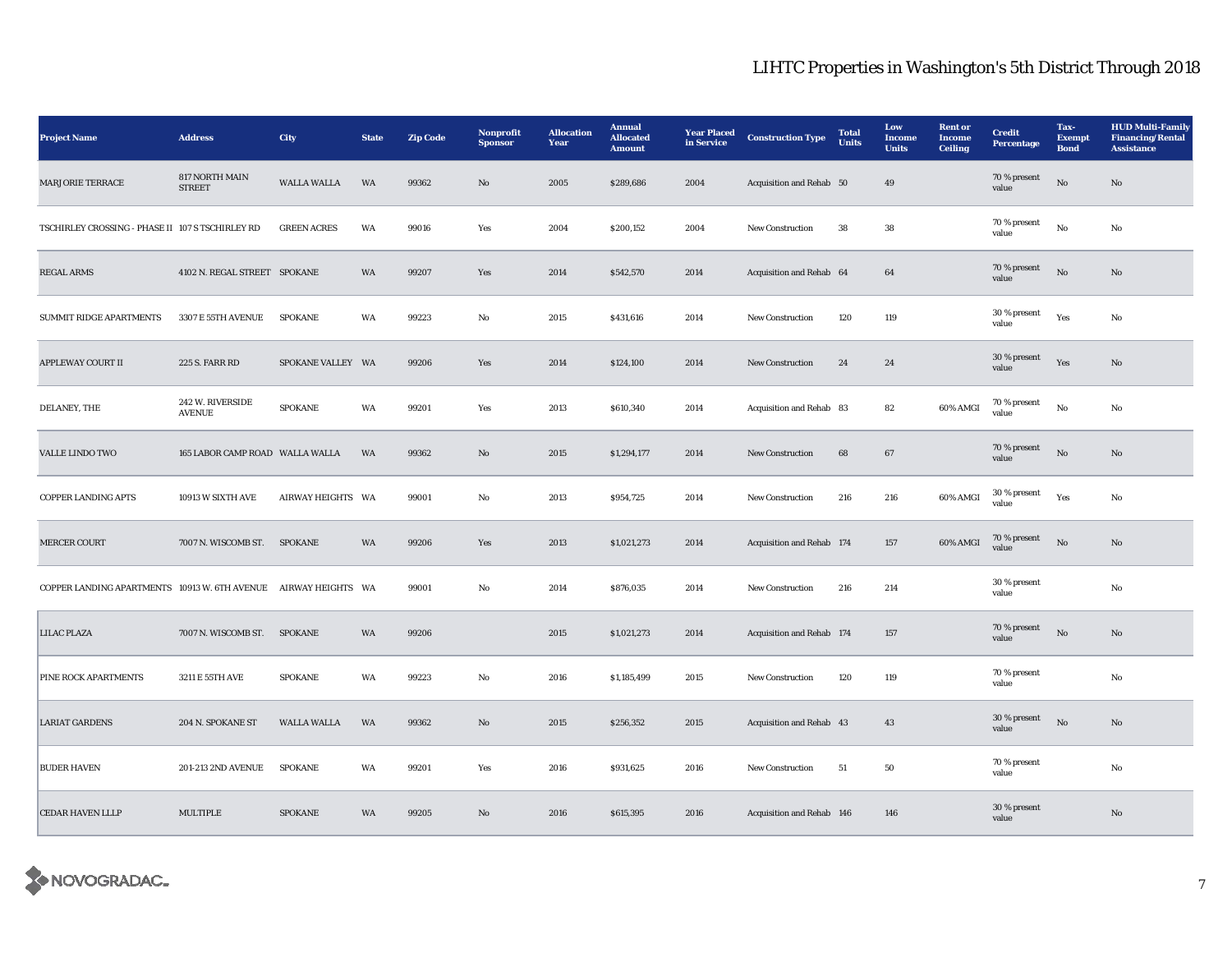| <b>Project Name</b>                                             | <b>Address</b>                    | <b>City</b>        | <b>State</b> | <b>Zip Code</b> | Nonprofit<br><b>Sponsor</b> | <b>Allocation</b><br>Year | <b>Annual</b><br><b>Allocated</b><br><b>Amount</b> | <b>Year Placed</b><br>in Service | <b>Construction Type</b>  | <b>Total</b><br><b>Units</b> | Low<br><b>Income</b><br><b>Units</b> | <b>Rent or</b><br>Income<br><b>Ceiling</b> | <b>Credit</b><br><b>Percentage</b> | Tax-<br><b>Exempt</b><br><b>Bond</b> | <b>HUD Multi-Family</b><br><b>Financing/Rental</b><br><b>Assistance</b> |
|-----------------------------------------------------------------|-----------------------------------|--------------------|--------------|-----------------|-----------------------------|---------------------------|----------------------------------------------------|----------------------------------|---------------------------|------------------------------|--------------------------------------|--------------------------------------------|------------------------------------|--------------------------------------|-------------------------------------------------------------------------|
| <b>MARJORIE TERRACE</b>                                         | 817 NORTH MAIN<br><b>STREET</b>   | <b>WALLA WALLA</b> | WA           | 99362           | $\rm No$                    | 2005                      | \$289,686                                          | 2004                             | Acquisition and Rehab 50  |                              | 49                                   |                                            | 70 % present<br>value              | $\rm\thinspace No$                   | $\rm No$                                                                |
| TSCHIRLEY CROSSING - PHASE II 107 S TSCHIRLEY RD                |                                   | <b>GREEN ACRES</b> | WA           | 99016           | Yes                         | 2004                      | \$200,152                                          | 2004                             | New Construction          | ${\bf 38}$                   | ${\bf 38}$                           |                                            | 70 % present<br>value              | $\rm No$                             | $\rm\, No$                                                              |
| <b>REGAL ARMS</b>                                               | 4102 N. REGAL STREET SPOKANE      |                    | WA           | 99207           | Yes                         | 2014                      | \$542,570                                          | 2014                             | Acquisition and Rehab 64  |                              | 64                                   |                                            | 70 % present<br>value              | $\rm No$                             | $\mathbf{No}$                                                           |
| <b>SUMMIT RIDGE APARTMENTS</b>                                  | 3307 E 55TH AVENUE                | <b>SPOKANE</b>     | WA           | 99223           | $\mathbf{No}$               | 2015                      | \$431,616                                          | 2014                             | <b>New Construction</b>   | 120                          | 119                                  |                                            | 30 % present<br>value              | Yes                                  | No                                                                      |
| APPLEWAY COURT II                                               | <b>225 S. FARR RD</b>             | SPOKANE VALLEY WA  |              | 99206           | Yes                         | 2014                      | \$124,100                                          | 2014                             | New Construction          | 24                           | 24                                   |                                            | 30 % present<br>value              | Yes                                  | $\mathbf{No}$                                                           |
| DELANEY, THE                                                    | 242 W. RIVERSIDE<br><b>AVENUE</b> | SPOKANE            | WA           | 99201           | Yes                         | 2013                      | \$610,340                                          | 2014                             | Acquisition and Rehab 83  |                              | 82                                   | 60% AMGI                                   | 70 % present<br>value              | $_{\rm No}$                          | No                                                                      |
| <b>VALLE LINDO TWO</b>                                          | 165 LABOR CAMP ROAD WALLA WALLA   |                    | <b>WA</b>    | 99362           | $\mathbf{N}\mathbf{o}$      | 2015                      | \$1,294,177                                        | 2014                             | New Construction          | 68                           | 67                                   |                                            | 70 % present<br>value              | $_{\rm No}$                          | $\mathbf{No}$                                                           |
| <b>COPPER LANDING APTS</b>                                      | 10913 W SIXTH AVE                 | AIRWAY HEIGHTS WA  |              | 99001           | No                          | 2013                      | \$954,725                                          | 2014                             | <b>New Construction</b>   | 216                          | 216                                  | 60% AMGI                                   | 30 % present<br>value              | Yes                                  | No                                                                      |
| <b>MERCER COURT</b>                                             | 7007 N. WISCOMB ST.               | <b>SPOKANE</b>     | WA           | 99206           | Yes                         | 2013                      | \$1,021,273                                        | 2014                             | Acquisition and Rehab 174 |                              | 157                                  | 60% AMGI                                   | 70 % present<br>value              | $\rm No$                             | $\mathbf{No}$                                                           |
| COPPER LANDING APARTMENTS 10913 W. 6TH AVENUE AIRWAY HEIGHTS WA |                                   |                    |              | 99001           | No                          | 2014                      | \$876,035                                          | 2014                             | New Construction          | 216                          | 214                                  |                                            | 30 % present<br>value              |                                      | No                                                                      |
| <b>LILAC PLAZA</b>                                              | 7007 N. WISCOMB ST. SPOKANE       |                    | WA           | 99206           |                             | 2015                      | \$1,021,273                                        | 2014                             | Acquisition and Rehab 174 |                              | 157                                  |                                            | 70 % present<br>value              | $_{\rm No}$                          | $\mathbf{No}$                                                           |
| PINE ROCK APARTMENTS                                            | 3211 E 55TH AVE                   | <b>SPOKANE</b>     | WA           | 99223           | No                          | 2016                      | \$1,185,499                                        | 2015                             | <b>New Construction</b>   | 120                          | 119                                  |                                            | 70 % present<br>value              |                                      | No                                                                      |
| <b>LARIAT GARDENS</b>                                           | 204 N. SPOKANE ST                 | <b>WALLA WALLA</b> | WA           | 99362           | No                          | 2015                      | \$256,352                                          | 2015                             | Acquisition and Rehab 43  |                              | 43                                   |                                            | 30 % present<br>value              | $\mathbf{N}\mathbf{o}$               | No                                                                      |
| <b>BUDER HAVEN</b>                                              | 201-213 2ND AVENUE                | <b>SPOKANE</b>     | WA           | 99201           | Yes                         | 2016                      | \$931,625                                          | 2016                             | <b>New Construction</b>   | 51                           | 50                                   |                                            | 70 % present<br>value              |                                      | No                                                                      |
| <b>CEDAR HAVEN LLLP</b>                                         | MULTIPLE                          | <b>SPOKANE</b>     | WA           | 99205           | $\mathbf{N}\mathbf{o}$      | 2016                      | \$615,395                                          | 2016                             | Acquisition and Rehab 146 |                              | 146                                  |                                            | 30 % present<br>value              |                                      | $\rm No$                                                                |

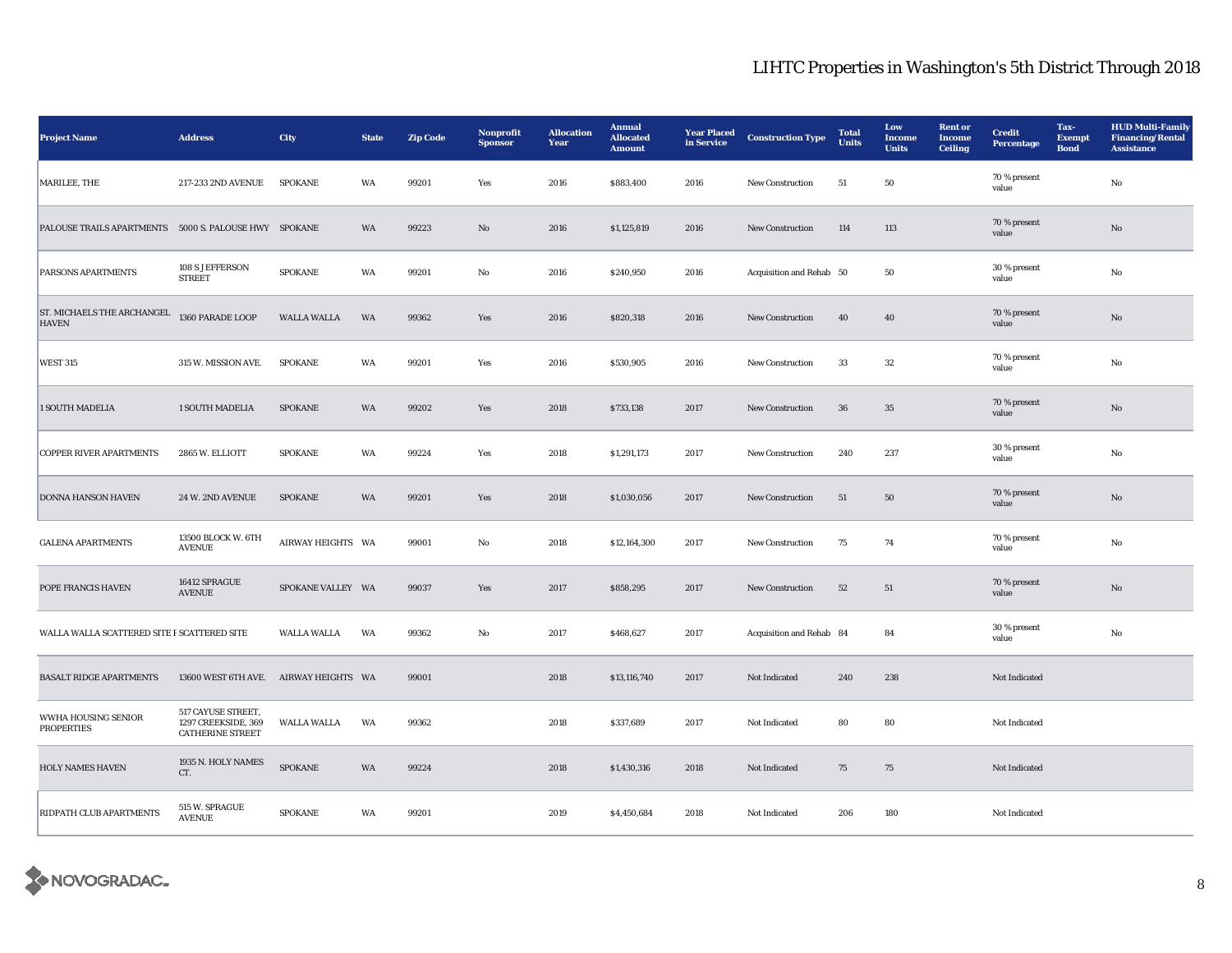| <b>Project Name</b>                                   | <b>Address</b>                                                       | City               | <b>State</b> | <b>Zip Code</b> | Nonprofit<br><b>Sponsor</b> | <b>Allocation</b><br>Year | <b>Annual</b><br><b>Allocated</b><br><b>Amount</b> | <b>Year Placed</b><br>in Service | <b>Construction Type</b> | <b>Total</b><br><b>Units</b> | Low<br><b>Income</b><br><b>Units</b> | <b>Rent</b> or<br><b>Income</b><br><b>Ceiling</b> | <b>Credit</b><br><b>Percentage</b> | Tax-<br>Exempt<br><b>Bond</b> | <b>HUD Multi-Family</b><br><b>Financing/Rental</b><br><b>Assistance</b> |
|-------------------------------------------------------|----------------------------------------------------------------------|--------------------|--------------|-----------------|-----------------------------|---------------------------|----------------------------------------------------|----------------------------------|--------------------------|------------------------------|--------------------------------------|---------------------------------------------------|------------------------------------|-------------------------------|-------------------------------------------------------------------------|
| MARILEE, THE                                          | 217-233 2ND AVENUE                                                   | <b>SPOKANE</b>     | WA           | 99201           | Yes                         | 2016                      | \$883,400                                          | 2016                             | New Construction         | 51                           | 50                                   |                                                   | 70 % present<br>value              |                               | No                                                                      |
| PALOUSE TRAILS APARTMENTS 5000 S. PALOUSE HWY SPOKANE |                                                                      |                    | WA           | 99223           | $\mathbf{N}\mathbf{o}$      | 2016                      | \$1,125,819                                        | 2016                             | New Construction         | 114                          | 113                                  |                                                   | 70 % present<br>value              |                               | No                                                                      |
| PARSONS APARTMENTS                                    | 108 S JEFFERSON<br><b>STREET</b>                                     | <b>SPOKANE</b>     | WA           | 99201           | No                          | 2016                      | \$240,950                                          | 2016                             | Acquisition and Rehab 50 |                              | 50                                   |                                                   | 30 % present<br>value              |                               | No                                                                      |
| ST. MICHAELS THE ARCHANGEL<br><b>HAVEN</b>            | 1360 PARADE LOOP                                                     | <b>WALLA WALLA</b> | WA           | 99362           | Yes                         | 2016                      | \$820,318                                          | 2016                             | <b>New Construction</b>  | 40                           | 40                                   |                                                   | 70 % present<br>value              |                               | No                                                                      |
| <b>WEST 315</b>                                       | 315 W. MISSION AVE.                                                  | <b>SPOKANE</b>     | WA           | 99201           | Yes                         | 2016                      | \$530,905                                          | 2016                             | <b>New Construction</b>  | 33                           | $32\,$                               |                                                   | 70 % present<br>value              |                               | No                                                                      |
| <b>1 SOUTH MADELIA</b>                                | <b>1 SOUTH MADELIA</b>                                               | <b>SPOKANE</b>     | WA           | 99202           | Yes                         | 2018                      | \$733,138                                          | 2017                             | <b>New Construction</b>  | 36                           | 35                                   |                                                   | 70 % present<br>value              |                               | No                                                                      |
| <b>COPPER RIVER APARTMENTS</b>                        | 2865 W. ELLIOTT                                                      | <b>SPOKANE</b>     | WA           | 99224           | Yes                         | 2018                      | \$1,291,173                                        | 2017                             | <b>New Construction</b>  | 240                          | 237                                  |                                                   | 30 % present<br>value              |                               | No                                                                      |
| <b>DONNA HANSON HAVEN</b>                             | 24 W. 2ND AVENUE                                                     | SPOKANE            | WA           | 99201           | Yes                         | 2018                      | \$1,030,056                                        | 2017                             | <b>New Construction</b>  | 51                           | 50                                   |                                                   | 70 % present<br>value              |                               | No                                                                      |
| <b>GALENA APARTMENTS</b>                              | 13500 BLOCK W. 6TH<br><b>AVENUE</b>                                  | AIRWAY HEIGHTS WA  |              | 99001           | No                          | 2018                      | \$12,164,300                                       | 2017                             | New Construction         | 75                           | 74                                   |                                                   | 70 % present<br>value              |                               | No                                                                      |
| POPE FRANCIS HAVEN                                    | 16412 SPRAGUE<br><b>AVENUE</b>                                       | SPOKANE VALLEY WA  |              | 99037           | Yes                         | 2017                      | \$858,295                                          | 2017                             | New Construction         | 52                           | 51                                   |                                                   | 70 % present<br>value              |                               | No                                                                      |
| WALLA WALLA SCATTERED SITE P SCATTERED SITE           |                                                                      | <b>WALLA WALLA</b> | WA           | 99362           | No                          | 2017                      | \$468,627                                          | 2017                             | Acquisition and Rehab 84 |                              | 84                                   |                                                   | 30 % present<br>value              |                               | No                                                                      |
| <b>BASALT RIDGE APARTMENTS</b>                        | 13600 WEST 6TH AVE. AIRWAY HEIGHTS WA                                |                    |              | 99001           |                             | 2018                      | \$13,116,740                                       | 2017                             | Not Indicated            | 240                          | 238                                  |                                                   | Not Indicated                      |                               |                                                                         |
| WWHA HOUSING SENIOR<br><b>PROPERTIES</b>              | 517 CAYUSE STREET,<br>1297 CREEKSIDE, 369<br><b>CATHERINE STREET</b> | <b>WALLA WALLA</b> | WA           | 99362           |                             | 2018                      | \$337,689                                          | 2017                             | Not Indicated            | 80                           | 80                                   |                                                   | Not Indicated                      |                               |                                                                         |
| <b>HOLY NAMES HAVEN</b>                               | 1935 N. HOLY NAMES<br>CT.                                            | <b>SPOKANE</b>     | WA           | 99224           |                             | 2018                      | \$1,430,316                                        | 2018                             | Not Indicated            | 75                           | 75                                   |                                                   | Not Indicated                      |                               |                                                                         |
| <b>RIDPATH CLUB APARTMENTS</b>                        | 515 W. SPRAGUE<br><b>AVENUE</b>                                      | <b>SPOKANE</b>     | WA           | 99201           |                             | 2019                      | \$4,450,684                                        | 2018                             | Not Indicated            | 206                          | 180                                  |                                                   | Not Indicated                      |                               |                                                                         |